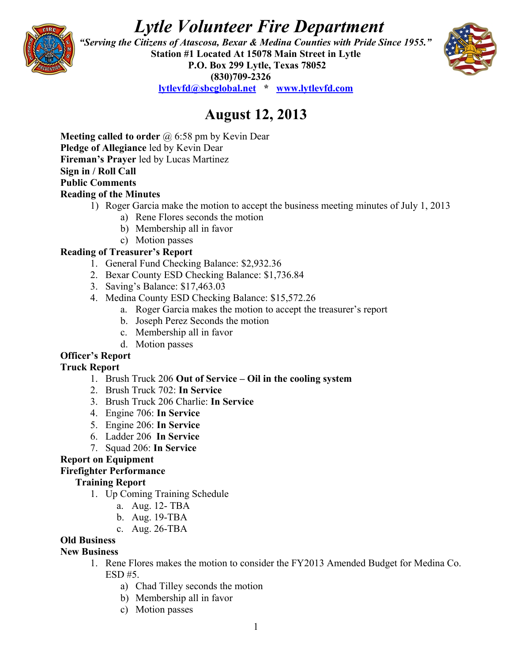# *Lytle Volunteer Fire Department*



 *"Serving the Citizens of Atascosa, Bexar & Medina Counties with Pride Since 1955."*  **Station #1 Located At 15078 Main Street in Lytle P.O. Box 299 Lytle, Texas 78052 (830)709-2326**



**[lytlevfd@sbcglobal.net](mailto:lytlevfd@sbcglobal.net) \* [www.lytlevfd.com](http://www.lytlevfd.com/)**

# **August 12, 2013**

**Meeting called to order** @ 6:58 pm by Kevin Dear **Pledge of Allegiance** led by Kevin Dear **Fireman's Prayer** led by Lucas Martinez **Sign in / Roll Call Public Comments Reading of the Minutes**

- 1) Roger Garcia make the motion to accept the business meeting minutes of July 1, 2013
	- a) Rene Flores seconds the motion
	- b) Membership all in favor
	- c) Motion passes

#### **Reading of Treasurer's Report**

- 1. General Fund Checking Balance: \$2,932.36
- 2. Bexar County ESD Checking Balance: \$1,736.84
- 3. Saving's Balance: \$17,463.03
- 4. Medina County ESD Checking Balance: \$15,572.26
	- a. Roger Garcia makes the motion to accept the treasurer's report
	- b. Joseph Perez Seconds the motion
	- c. Membership all in favor
	- d. Motion passes

### **Officer's Report**

#### **Truck Report**

- 1. Brush Truck 206 **Out of Service Oil in the cooling system**
- 2. Brush Truck 702: **In Service**
- 3. Brush Truck 206 Charlie: **In Service**
- 4. Engine 706: **In Service**
- 5. Engine 206: **In Service**
- 6. Ladder 206 **In Service**
- 7. Squad 206: **In Service**

#### **Report on Equipment**

#### **Firefighter Performance**

#### **Training Report**

- 1. Up Coming Training Schedule
	- a. Aug. 12- TBA
	- b. Aug. 19-TBA
	- c. Aug. 26-TBA

#### **Old Business**

#### **New Business**

- 1. Rene Flores makes the motion to consider the FY2013 Amended Budget for Medina Co. ESD #5.
	- a) Chad Tilley seconds the motion
	- b) Membership all in favor
	- c) Motion passes